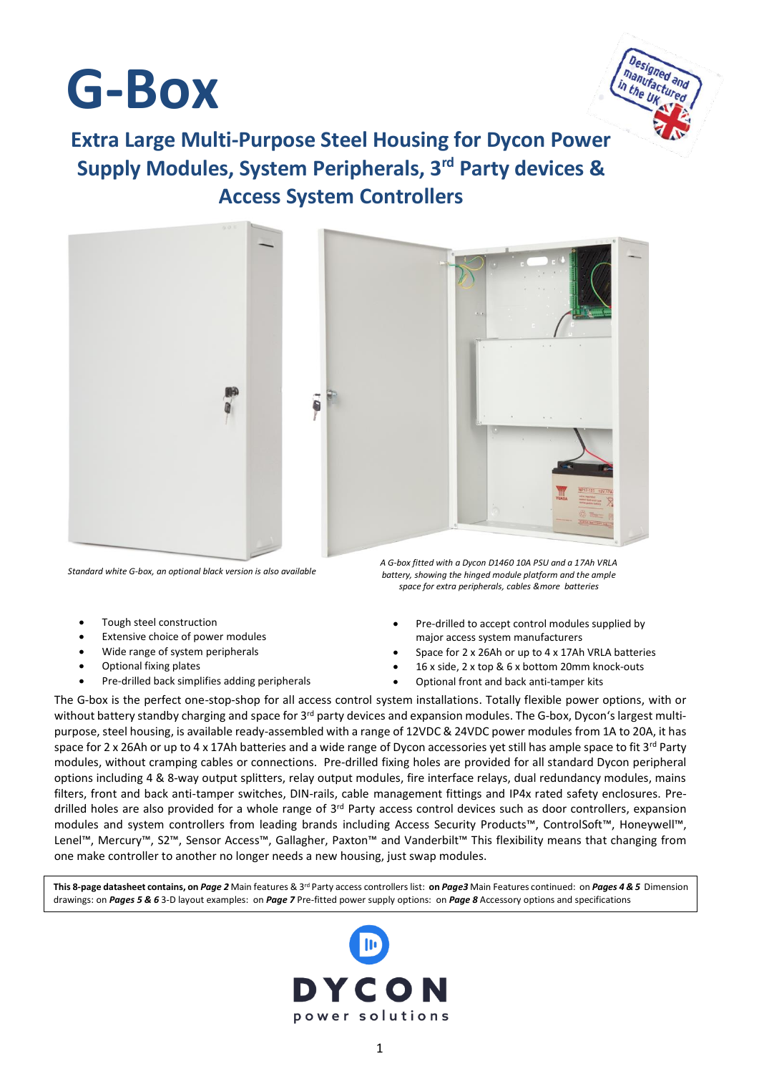



**Extra Large Multi-Purpose Steel Housing for Dycon Power Supply Modules, System Peripherals, 3 rd Party devices & Access System Controllers**



*Standard white G-box, an optional black version is also available*

- Tough steel construction
- Extensive choice of power modules
- Wide range of system peripherals
- Optional fixing plates
- Pre-drilled back simplifies adding peripherals

*A G-box fitted with a Dycon D1460 10A PSU and a 17Ah VRLA battery, showing the hinged module platform and the ample space for extra peripherals, cables &more batteries*

- Pre-drilled to accept control modules supplied by major access system manufacturers
- Space for 2 x 26Ah or up to 4 x 17Ah VRLA batteries
- 16 x side, 2 x top & 6 x bottom 20mm knock-outs
- Optional front and back anti-tamper kits

The G-box is the perfect one-stop-shop for all access control system installations. Totally flexible power options, with or without battery standby charging and space for 3<sup>rd</sup> party devices and expansion modules. The G-box, Dycon's largest multipurpose, steel housing, is available ready-assembled with a range of 12VDC & 24VDC power modules from 1A to 20A, it has space for 2 x 26Ah or up to 4 x 17Ah batteries and a wide range of Dycon accessories yet still has ample space to fit 3<sup>rd</sup> Party modules, without cramping cables or connections. Pre-drilled fixing holes are provided for all standard Dycon peripheral options including 4 & 8-way output splitters, relay output modules, fire interface relays, dual redundancy modules, mains filters, front and back anti-tamper switches, DIN-rails, cable management fittings and IP4x rated safety enclosures. Predrilled holes are also provided for a whole range of  $3<sup>rd</sup>$  Party access control devices such as door controllers, expansion modules and system controllers from leading brands including Access Security Products™, ControlSoft™, Honeywell™, Lenel™, Mercury™, S2™, Sensor Access™, Gallagher, Paxton™ and Vanderbilt™ This flexibility means that changing from one make controller to another no longer needs a new housing, just swap modules.

**This 8-page datasheet contains, on** *Page 2* Main features & 3rd Party access controllers list: **on** *Page3* Main Features continued: on *Pages 4 & 5* Dimension drawings: on *Pages 5 & 6* 3-D layout examples: on *Page 7* Pre-fitted power supply options: on *Page 8* Accessory options and specifications

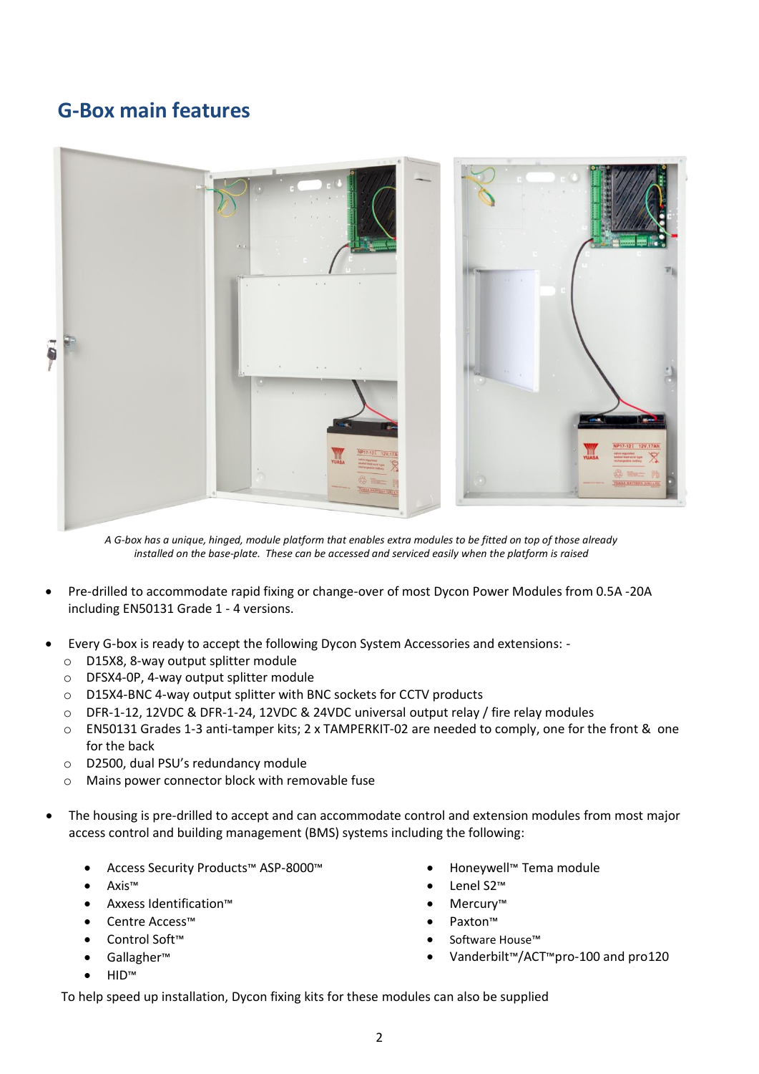# **G-Box main features**



*A G-box has a unique, hinged, module platform that enables extra modules to be fitted on top of those already installed on the base-plate. These can be accessed and serviced easily when the platform is raised*

- Pre-drilled to accommodate rapid fixing or change-over of most Dycon Power Modules from 0.5A -20A including EN50131 Grade 1 - 4 versions.
- Every G-box is ready to accept the following Dycon System Accessories and extensions:
	- o D15X8, 8-way output splitter module
	- o DFSX4-0P, 4-way output splitter module
	- o D15X4-BNC 4-way output splitter with BNC sockets for CCTV products
	- o DFR-1-12, 12VDC & DFR-1-24, 12VDC & 24VDC universal output relay / fire relay modules
	- o EN50131 Grades 1-3 anti-tamper kits; 2 x TAMPERKIT-02 are needed to comply, one for the front & one for the back
	- o D2500, dual PSU's redundancy module
	- o Mains power connector block with removable fuse
- The housing is pre-drilled to accept and can accommodate control and extension modules from most major access control and building management (BMS) systems including the following:
	- Access Security Products™ ASP-8000™
	- Axis™
	- Axxess Identification™
	- Centre Access™
	- Control Soft™
	- Gallagher™
	- HID™
- Honeywell™ Tema module
- Lenel S2™
- Mercury™
- Paxton™
- Software House™
- Vanderbilt™/ACT™pro-100 and pro120

• To help speed up installation, Dycon fixing kits for these modules can also be supplied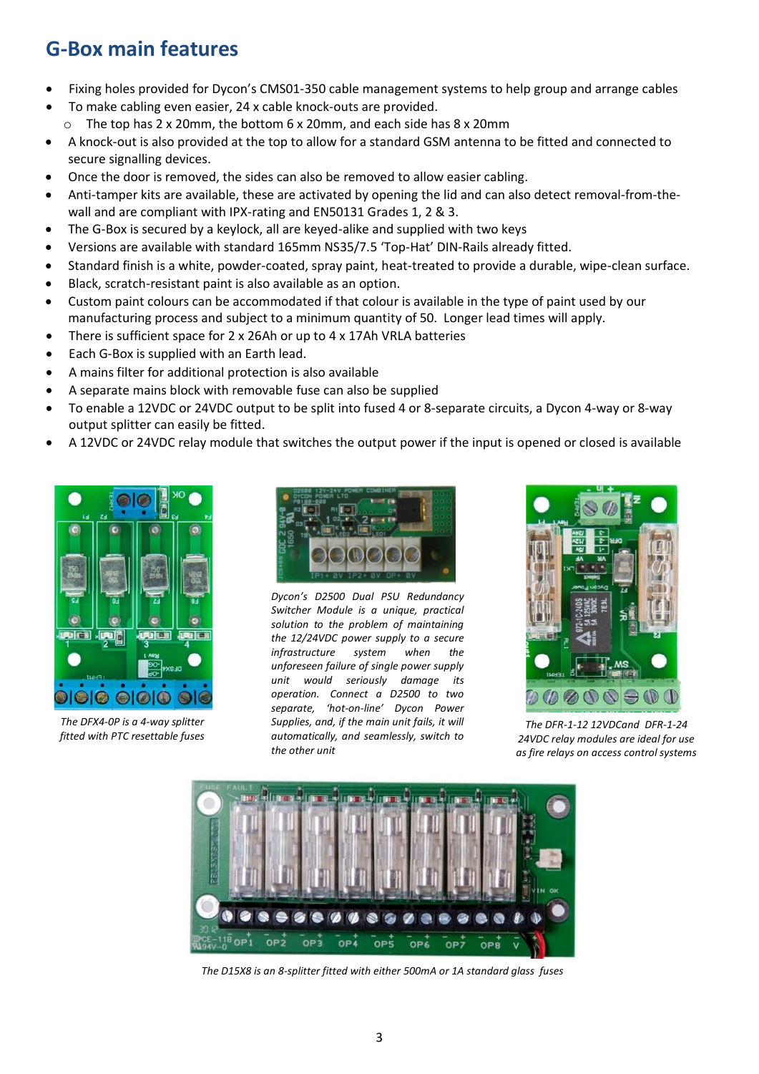# **G-Box main features**

- Fixing holes provided for Dycon's CMS01-350 cable management systems to help group and arrange cables
- To make cabling even easier, 24 x cable knock-outs are provided.
- $\circ$  The top has 2 x 20mm, the bottom 6 x 20mm, and each side has 8 x 20mm
- A knock-out is also provided at the top to allow for a standard GSM antenna to be fitted and connected to secure signalling devices.
- Once the door is removed, the sides can also be removed to allow easier cabling.
- Anti-tamper kits are available, these are activated by opening the lid and can also detect removal-from-thewall and are compliant with IPX-rating and EN50131 Grades 1, 2 & 3.
- The G-Box is secured by a keylock, all are keyed-alike and supplied with two keys
- Versions are available with standard 165mm NS35/7.5 'Top-Hat' DIN-Rails already fitted.
- Standard finish is a white, powder-coated, spray paint, heat-treated to provide a durable, wipe-clean surface.
- Black, scratch-resistant paint is also available as an option.
- Custom paint colours can be accommodated if that colour is available in the type of paint used by our manufacturing process and subject to a minimum quantity of 50. Longer lead times will apply.
- There is sufficient space for 2 x 26Ah or up to 4 x 17Ah VRLA batteries
- Each G-Box is supplied with an Earth lead.
- A mains filter for additional protection is also available
- A separate mains block with removable fuse can also be supplied
- To enable a 12VDC or 24VDC output to be split into fused 4 or 8-separate circuits, a Dycon 4-way or 8-way output splitter can easily be fitted.
- A 12VDC or 24VDC relay module that switches the output power if the input is opened or closed is available



*The DFX4-0P is a 4-way splitter fitted with PTC resettable fuses*



*Dycon's D2500 Dual PSU Redundancy Switcher Module is a unique, practical solution to the problem of maintaining the 12/24VDC power supply to a secure infrastructure system when the unforeseen failure of single power supply unit would seriously damage its operation. Connect a D2500 to two separate, 'hot-on-line' Dycon Power Supplies, and, if the main unit fails, it will automatically, and seamlessly, switch to the other unit*



*The DFR-1-12 12VDCand DFR-1-24 24VDC relay modules are ideal for use as fire relays on access control systems*



*The D15X8 is an 8-splitter fitted with either 500mA or 1A standard glass fuses*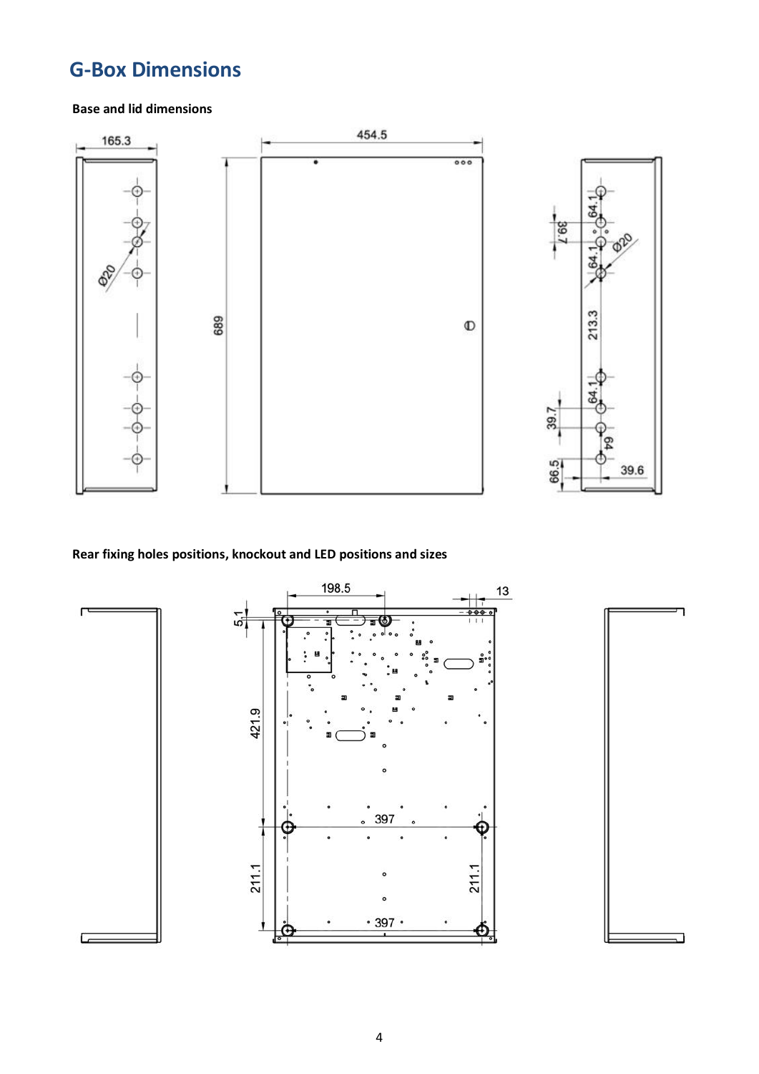# **G-Box Dimensions**

#### **Base and lid dimensions**



#### **Rear fixing holes positions, knockout and LED positions and sizes**

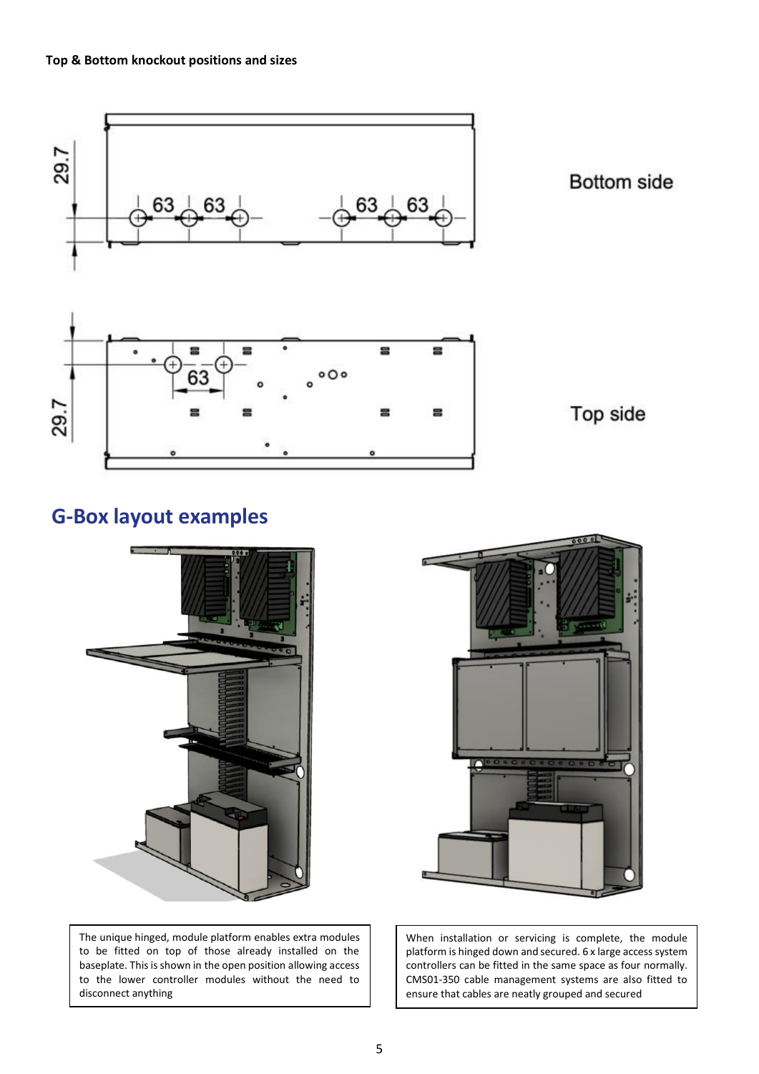

## **G-Box layout examples**



The unique hinged, module platform enables extra modules to be fitted on top of those already installed on the baseplate. This is shown in the open position allowing access to the lower controller modules without the need to disconnect anything



When installation or servicing is complete, the module platform is hinged down and secured. 6 x large access system controllers can be fitted in the same space as four normally. CMS01-350 cable management systems are also fitted to ensure that cables are neatly grouped and secured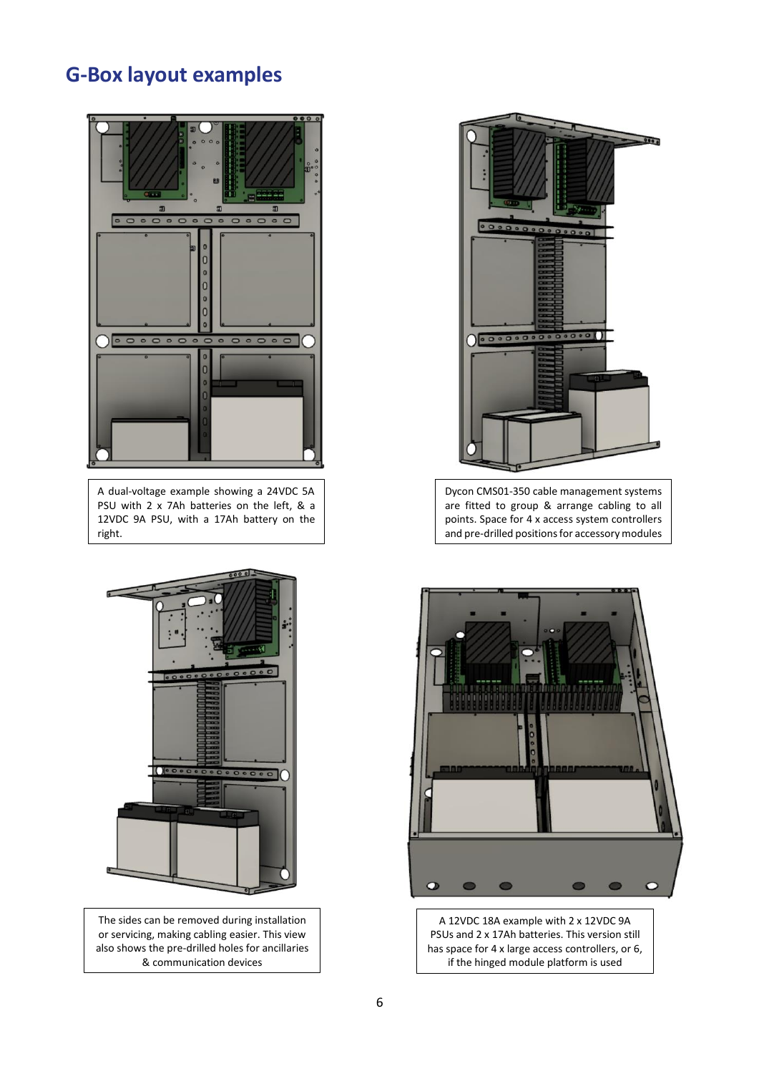## **G-Box layout examples**



A dual-voltage example showing a 24VDC 5A PSU with 2 x 7Ah batteries on the left, & a 12VDC 9A PSU, with a 17Ah battery on the right.



The sides can be removed during installation or servicing, making cabling easier. This view also shows the pre-drilled holes for ancillaries & communication devices



Dycon CMS01-350 cable management systems are fitted to group & arrange cabling to all points. Space for 4 x access system controllers and pre-drilled positions for accessory modules

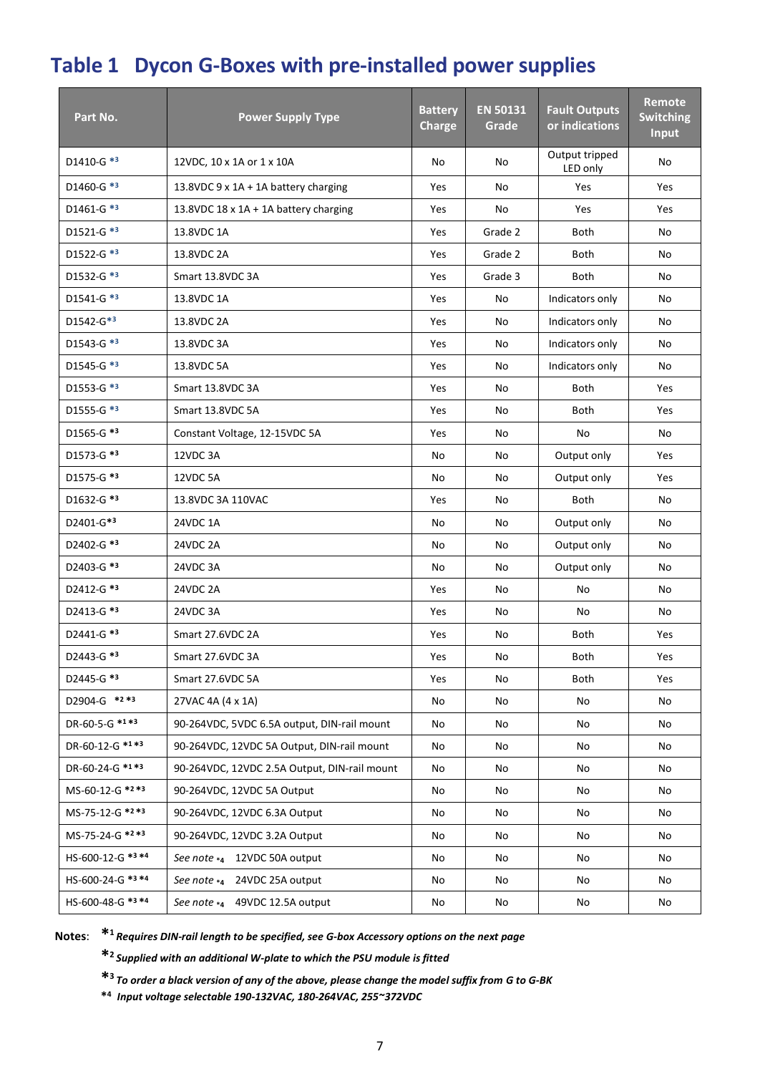# **Table 1 Dycon G-Boxes with pre-installed power supplies**

| Part No.          | <b>Power Supply Type</b>                     | <b>Battery</b><br><b>Charge</b> | <b>EN 50131</b><br>Grade | <b>Fault Outputs</b><br>or indications | Remote<br><b>Switching</b><br><b>Input</b> |
|-------------------|----------------------------------------------|---------------------------------|--------------------------|----------------------------------------|--------------------------------------------|
| D1410-G *3        | 12VDC, 10 x 1A or 1 x 10A                    | No                              | No                       | Output tripped<br>LED only             | No                                         |
| D1460-G *3        | 13.8VDC 9 x 1A + 1A battery charging         | Yes                             | No                       | Yes                                    | Yes                                        |
| D1461-G *3        | 13.8VDC $18 \times 1A + 1A$ battery charging | Yes                             | No                       | Yes                                    | Yes                                        |
| D1521-G *3        | 13.8VDC 1A                                   | Yes                             | Grade 2                  | Both                                   | No                                         |
| D1522-G *3        | 13.8VDC 2A                                   | Yes                             | Grade 2                  | Both                                   | No                                         |
| D1532-G *3        | Smart 13.8VDC 3A                             | Yes                             | Grade 3                  | Both                                   | No                                         |
| D1541-G *3        | 13.8VDC 1A                                   | Yes                             | No                       | Indicators only                        | No                                         |
| D1542-G*3         | 13.8VDC 2A                                   | Yes                             | No                       | Indicators only                        | No                                         |
| D1543-G *3        | 13.8VDC 3A                                   | Yes                             | No                       | Indicators only                        | No                                         |
| D1545-G *3        | 13.8VDC 5A                                   | Yes                             | No                       | Indicators only                        | No                                         |
| D1553-G *3        | Smart 13.8VDC 3A                             | Yes                             | No                       | Both                                   | Yes                                        |
| D1555-G *3        | Smart 13.8VDC 5A                             | Yes                             | No                       | Both                                   | Yes                                        |
| D1565-G *3        | Constant Voltage, 12-15VDC 5A                | Yes                             | No                       | No                                     | No                                         |
| D1573-G *3        | 12VDC 3A                                     | No                              | No                       | Output only                            | Yes                                        |
| D1575-G *3        | 12VDC 5A                                     | No                              | No                       | Output only                            | Yes                                        |
| D1632-G *3        | 13.8VDC 3A 110VAC                            | Yes                             | No                       | Both                                   | No                                         |
| D2401-G*3         | 24VDC 1A                                     | No                              | No                       | Output only                            | No                                         |
| D2402-G *3        | 24VDC 2A                                     | No                              | No                       | Output only                            | No                                         |
| D2403-G *3        | 24VDC 3A                                     | No                              | No                       | Output only                            | No                                         |
| D2412-G *3        | 24VDC 2A                                     | Yes                             | No                       | No                                     | No                                         |
| D2413-G *3        | 24VDC 3A                                     | Yes                             | No                       | No                                     | No                                         |
| D2441-G *3        | Smart 27.6VDC 2A                             | Yes                             | No                       | Both                                   | Yes                                        |
| D2443-G *3        | Smart 27.6VDC 3A                             | Yes                             | No                       | Both                                   | Yes                                        |
| D2445-G *3        | Smart 27.6VDC 5A                             | Yes                             | No                       | Both                                   | Yes                                        |
| D2904-G *2 *3     | 27VAC 4A (4 x 1A)                            | No                              | No                       | No                                     | No                                         |
| DR-60-5-G *1 *3   | 90-264VDC, 5VDC 6.5A output, DIN-rail mount  | No                              | No                       | No                                     | No                                         |
| DR-60-12-G *1*3   | 90-264VDC, 12VDC 5A Output, DIN-rail mount   | No                              | No                       | No                                     | No                                         |
| DR-60-24-G *1 *3  | 90-264VDC, 12VDC 2.5A Output, DIN-rail mount | No                              | No                       | No                                     | No                                         |
| MS-60-12-G *2 *3  | 90-264VDC, 12VDC 5A Output                   | No                              | No                       | No                                     | No                                         |
| MS-75-12-G *2 *3  | 90-264VDC, 12VDC 6.3A Output                 | No                              | No                       | No                                     | No                                         |
| MS-75-24-G *2 *3  | 90-264VDC, 12VDC 3.2A Output                 | No                              | No                       | No                                     | No                                         |
| HS-600-12-G *3 *4 | See note *4 12VDC 50A output                 | No                              | No                       | No                                     | No                                         |
| HS-600-24-G *3 *4 | See note *4 24VDC 25A output                 | No                              | No                       | No                                     | No                                         |
| HS-600-48-G *3 *4 | See note *4 49VDC 12.5A output               | No                              | No                       | No                                     | No                                         |

**Notes**: **\* <sup>1</sup>***Requires DIN-rail length to be specified, see G-box Accessory options on the next page*

**\* 2** *Supplied with an additional W-plate to which the PSU module is fitted*

**\* <sup>3</sup>***To order a black version of any of the above, please change the model suffix from G to G-BK*

**\* <sup>4</sup>***Input voltage selectable 190-132VAC, 180-264VAC, 255~372VDC*